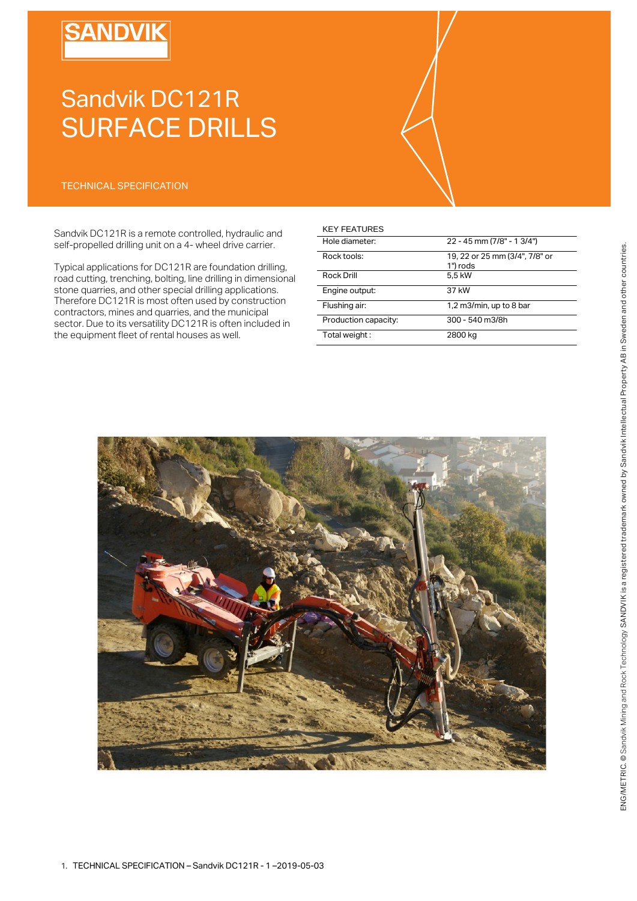# **SANDVIK**

# Sandvik DC121R SURFACE DRILLS

### TECHNICAL SPECIFICATION

Sandvik DC121R is a remote controlled, hydraulic and self-propelled drilling unit on a 4- wheel drive carrier.

Typical applications for DC121R are foundation drilling, road cutting, trenching, bolting, line drilling in dimensional stone quarries, and other special drilling applications. Therefore DC121R is most often used by construction contractors, mines and quarries, and the municipal sector. Due to its versatility DC121R is often included in the equipment fleet of rental houses as well.

### KEY FEATURES

| Hole diameter:       | 22 - 45 mm (7/8" - 1 3/4")                 |
|----------------------|--------------------------------------------|
| Rock tools:          | 19, 22 or 25 mm (3/4", 7/8" or<br>1") rods |
| Rock Drill           | 5.5 kW                                     |
| Engine output:       | 37 kW                                      |
| Flushing air:        | 1,2 m3/min, up to 8 bar                    |
| Production capacity: | 300 - 540 m3/8h                            |
| Total weight:        | 2800 kg                                    |

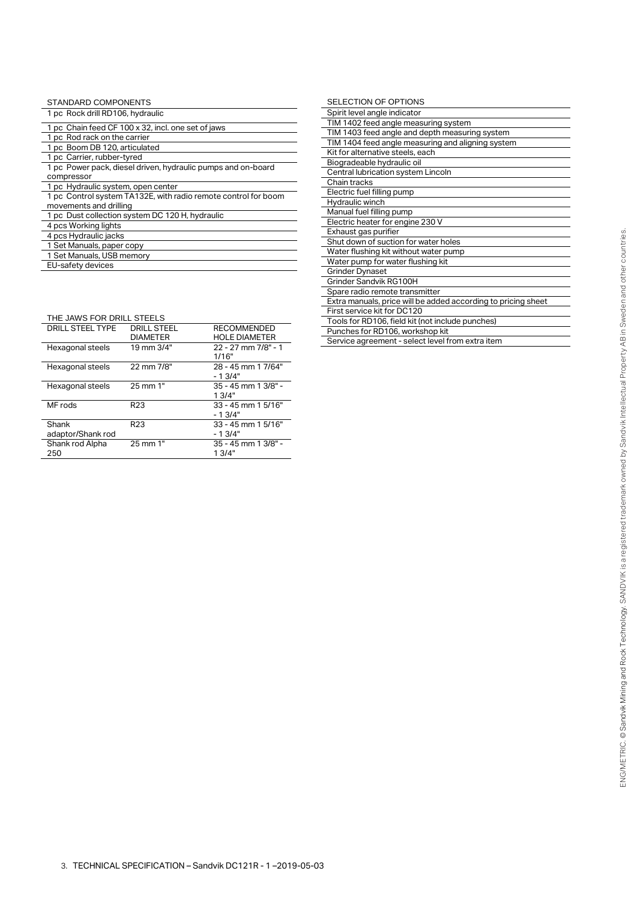| STANDARD COMPONENTS                                                                      |
|------------------------------------------------------------------------------------------|
| 1 pc Rock drill RD106, hydraulic                                                         |
| 1 pc Chain feed CF 100 x 32, incl. one set of jaws                                       |
| 1 pc Rod rack on the carrier                                                             |
| 1 pc Boom DB 120, articulated                                                            |
| 1 pc Carrier, rubber-tyred                                                               |
| 1 pc Power pack, diesel driven, hydraulic pumps and on-board                             |
| compressor                                                                               |
| 1 pc Hydraulic system, open center                                                       |
| 1 pc Control system TA132E, with radio remote control for boom<br>movements and drilling |
| 1 pc Dust collection system DC 120 H, hydraulic                                          |
| 4 pcs Working lights                                                                     |
| 4 pcs Hydraulic jacks                                                                    |
| 1 Set Manuals, paper copy                                                                |
| 1 Set Manuals, USB memory                                                                |
| EU-safety devices                                                                        |

| THE JAWS FOR DRILL STEELS |                    |                        |  |  |
|---------------------------|--------------------|------------------------|--|--|
| DRILL STEEL TYPE          | <b>DRILL STEEL</b> | <b>RECOMMENDED</b>     |  |  |
|                           | <b>DIAMETER</b>    | <b>HOLE DIAMETER</b>   |  |  |
| Hexagonal steels          | 19 mm 3/4"         | 22 - 27 mm 7/8" - 1    |  |  |
|                           |                    | 1/16"                  |  |  |
| Hexagonal steels          | 22 mm 7/8"         | 28 - 45 mm 1 7/64"     |  |  |
|                           |                    | - 1 3/4"               |  |  |
| Hexagonal steels          | 25 mm 1"           | 35 - 45 mm 1 3/8" -    |  |  |
|                           |                    | 13/4"                  |  |  |
| MF rods                   | R <sub>23</sub>    | $33 - 45$ mm 1 $5/16"$ |  |  |
|                           |                    | $-13/4"$               |  |  |
| Shank                     | R <sub>23</sub>    | 33 - 45 mm 1 5/16"     |  |  |
| adaptor/Shank rod         |                    | $-1.3/4"$              |  |  |
| Shank rod Alpha           | 25 mm 1"           | 35 - 45 mm 1 3/8" -    |  |  |
| 250                       |                    | 13/4"                  |  |  |
|                           |                    |                        |  |  |

| SELECTION OF OPTIONS                                          |
|---------------------------------------------------------------|
| Spirit level angle indicator                                  |
| TIM 1402 feed angle measuring system                          |
| TIM 1403 feed angle and depth measuring system                |
| TIM 1404 feed angle measuring and aligning system             |
| Kit for alternative steels, each                              |
| Biogradeable hydraulic oil                                    |
| Central lubrication system Lincoln                            |
| Chain tracks                                                  |
| Electric fuel filling pump                                    |
| Hydraulic winch                                               |
| Manual fuel filling pump                                      |
| Electric heater for engine 230 V                              |
| Exhaust gas purifier                                          |
| Shut down of suction for water holes                          |
| Water flushing kit without water pump                         |
| Water pump for water flushing kit                             |
| <b>Grinder Dynaset</b>                                        |
| Grinder Sandvik RG100H                                        |
| Spare radio remote transmitter                                |
| Extra manuals, price will be added according to pricing sheet |
| First service kit for DC120                                   |
| Tools for RD106, field kit (not include punches)              |
| Punches for RD106, workshop kit                               |
| Service agreement - select level from extra item              |